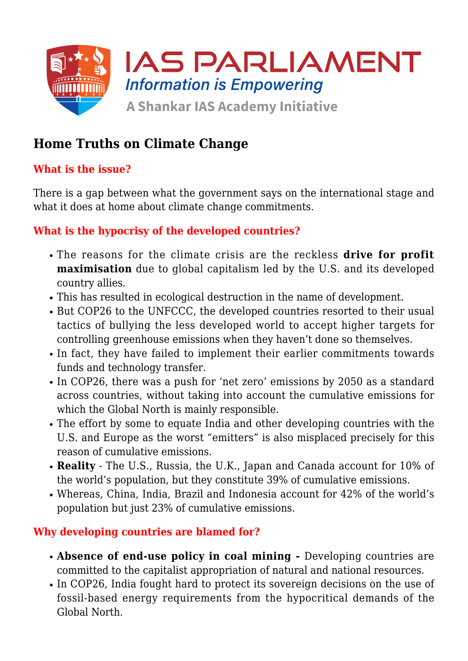

# **Home Truths on Climate Change**

## **What is the issue?**

There is a gap between what the government says on the international stage and what it does at home about climate change commitments.

## **What is the hypocrisy of the developed countries?**

- The reasons for the climate crisis are the reckless **drive for profit maximisation** due to global capitalism led by the U.S. and its developed country allies.
- This has resulted in ecological destruction in the name of development.
- But COP26 to the UNFCCC, the developed countries resorted to their usual tactics of bullying the less developed world to accept higher targets for controlling greenhouse emissions when they haven't done so themselves.
- In fact, they have failed to implement their earlier commitments towards funds and technology transfer.
- In COP26, there was a push for 'net zero' emissions by 2050 as a standard across countries, without taking into account the cumulative emissions for which the Global North is mainly responsible.
- The effort by some to equate India and other developing countries with the U.S. and Europe as the worst "emitters" is also misplaced precisely for this reason of cumulative emissions.
- **Reality** The U.S., Russia, the U.K., Japan and Canada account for 10% of the world's population, but they constitute 39% of cumulative emissions.
- Whereas, China, India, Brazil and Indonesia account for 42% of the world's population but just 23% of cumulative emissions.

## **Why developing countries are blamed for?**

- **Absence of end-use policy in coal mining** Developing countries are committed to the capitalist appropriation of natural and national resources.
- In COP26, India fought hard to protect its sovereign decisions on the use of fossil-based energy requirements from the hypocritical demands of the Global North.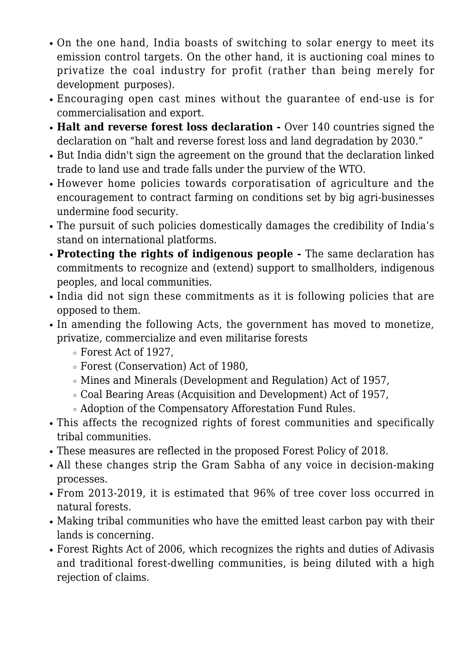- On the one hand, India boasts of switching to solar energy to meet its emission control targets. On the other hand, it is auctioning coal mines to privatize the coal industry for profit (rather than being merely for development purposes).
- Encouraging open cast mines without the guarantee of end-use is for commercialisation and export.
- Halt and reverse forest loss declaration Over 140 countries signed the declaration on "halt and reverse forest loss and land degradation by 2030."
- But India didn't sign the agreement on the ground that the declaration linked trade to land use and trade falls under the purview of the WTO.
- However home policies towards corporatisation of agriculture and the encouragement to contract farming on conditions set by big agri-businesses undermine food security.
- The pursuit of such policies domestically damages the credibility of India's stand on international platforms.
- **Protecting the rights of indigenous people** The same declaration has commitments to recognize and (extend) support to smallholders, indigenous peoples, and local communities.
- India did not sign these commitments as it is following policies that are opposed to them.
- In amending the following Acts, the government has moved to monetize, privatize, commercialize and even militarise forests
	- Forest Act of 1927,
	- Forest (Conservation) Act of 1980,
	- Mines and Minerals (Development and Regulation) Act of 1957,
	- Coal Bearing Areas (Acquisition and Development) Act of 1957,
	- Adoption of the Compensatory Afforestation Fund Rules.
- This affects the recognized rights of forest communities and specifically tribal communities.
- These measures are reflected in the proposed Forest Policy of 2018.
- All these changes strip the Gram Sabha of any voice in decision-making processes.
- From 2013-2019, it is estimated that 96% of tree cover loss occurred in natural forests.
- Making tribal communities who have the emitted least carbon pay with their lands is concerning.
- Forest Rights Act of 2006, which recognizes the rights and duties of Adivasis and traditional forest-dwelling communities, is being diluted with a high rejection of claims.